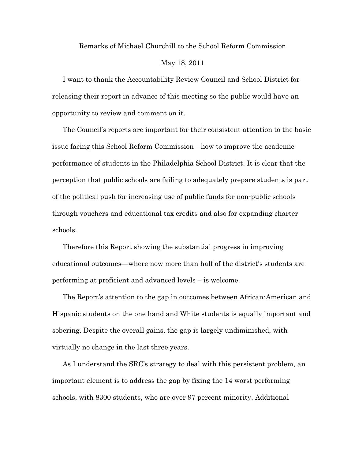## Remarks of Michael Churchill to the School Reform Commission May 18, 2011

I want to thank the Accountability Review Council and School District for releasing their report in advance of this meeting so the public would have an opportunity to review and comment on it.

The Council's reports are important for their consistent attention to the basic issue facing this School Reform Commission—how to improve the academic performance of students in the Philadelphia School District. It is clear that the perception that public schools are failing to adequately prepare students is part of the political push for increasing use of public funds for non-public schools through vouchers and educational tax credits and also for expanding charter schools.

Therefore this Report showing the substantial progress in improving educational outcomes—where now more than half of the district's students are performing at proficient and advanced levels – is welcome.

The Report's attention to the gap in outcomes between African-American and Hispanic students on the one hand and White students is equally important and sobering. Despite the overall gains, the gap is largely undiminished, with virtually no change in the last three years.

As I understand the SRC's strategy to deal with this persistent problem, an important element is to address the gap by fixing the 14 worst performing schools, with 8300 students, who are over 97 percent minority. Additional